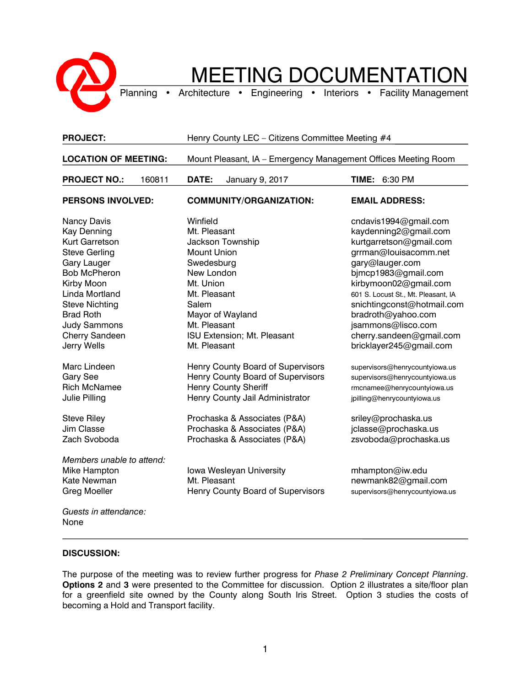

## MEETING DOCUMENTATION

Planning • Architecture • Engineering • Interiors • Facility Management

| <b>PROJECT:</b>                                                                                                                                                                                                                                                      | Henry County LEC - Citizens Committee Meeting #4                                                                                                                                                                                         |                                                                                                                                                                                                                                                                                                                                               |
|----------------------------------------------------------------------------------------------------------------------------------------------------------------------------------------------------------------------------------------------------------------------|------------------------------------------------------------------------------------------------------------------------------------------------------------------------------------------------------------------------------------------|-----------------------------------------------------------------------------------------------------------------------------------------------------------------------------------------------------------------------------------------------------------------------------------------------------------------------------------------------|
| <b>LOCATION OF MEETING:</b>                                                                                                                                                                                                                                          | Mount Pleasant, IA - Emergency Management Offices Meeting Room                                                                                                                                                                           |                                                                                                                                                                                                                                                                                                                                               |
| <b>PROJECT NO.:</b><br>160811                                                                                                                                                                                                                                        | DATE:<br>January 9, 2017                                                                                                                                                                                                                 | TIME:<br>6:30 PM                                                                                                                                                                                                                                                                                                                              |
| <b>PERSONS INVOLVED:</b>                                                                                                                                                                                                                                             | <b>COMMUNITY/ORGANIZATION:</b>                                                                                                                                                                                                           | <b>EMAIL ADDRESS:</b>                                                                                                                                                                                                                                                                                                                         |
| <b>Nancy Davis</b><br><b>Kay Denning</b><br>Kurt Garretson<br><b>Steve Gerling</b><br>Gary Lauger<br><b>Bob McPheron</b><br>Kirby Moon<br>Linda Mortland<br><b>Steve Nichting</b><br><b>Brad Roth</b><br><b>Judy Sammons</b><br><b>Cherry Sandeen</b><br>Jerry Wells | Winfield<br>Mt. Pleasant<br><b>Jackson Township</b><br><b>Mount Union</b><br>Swedesburg<br>New London<br>Mt. Union<br>Mt. Pleasant<br>Salem<br>Mayor of Wayland<br>Mt. Pleasant<br>ISU Extension; Mt. Pleasant<br>Mt. Pleasant           | cndavis1994@gmail.com<br>kaydenning2@gmail.com<br>kurtgarretson@gmail.com<br>grrman@louisacomm.net<br>gary@lauger.com<br>bjmcp1983@gmail.com<br>kirbymoon02@gmail.com<br>601 S. Locust St., Mt. Pleasant, IA<br>snichtingconst@hotmail.com<br>bradroth@yahoo.com<br>jsammons@lisco.com<br>cherry.sandeen@gmail.com<br>bricklayer245@gmail.com |
| Marc Lindeen<br><b>Gary See</b><br><b>Rich McNamee</b><br>Julie Pilling<br><b>Steve Riley</b><br>Jim Classe<br>Zach Svoboda                                                                                                                                          | Henry County Board of Supervisors<br>Henry County Board of Supervisors<br><b>Henry County Sheriff</b><br>Henry County Jail Administrator<br>Prochaska & Associates (P&A)<br>Prochaska & Associates (P&A)<br>Prochaska & Associates (P&A) | supervisors@henrycountyiowa.us<br>supervisors@henrycountyiowa.us<br>rmcnamee@henrycountyiowa.us<br>jpilling@henrycountyiowa.us<br>sriley@prochaska.us<br>jclasse@prochaska.us<br>zsvoboda@prochaska.us                                                                                                                                        |
| Members unable to attend:<br>Mike Hampton<br>Kate Newman<br><b>Greg Moeller</b><br>Guests in attendance:<br>None                                                                                                                                                     | Iowa Wesleyan University<br>Mt. Pleasant<br>Henry County Board of Supervisors                                                                                                                                                            | mhampton@iw.edu<br>newmank82@gmail.com<br>supervisors@henrycountyiowa.us                                                                                                                                                                                                                                                                      |

## **DISCUSSION:**

The purpose of the meeting was to review further progress for *Phase 2 Preliminary Concept Planning*. **Options 2** and **3** were presented to the Committee for discussion. Option 2 illustrates a site/floor plan for a greenfield site owned by the County along South Iris Street. Option 3 studies the costs of becoming a Hold and Transport facility.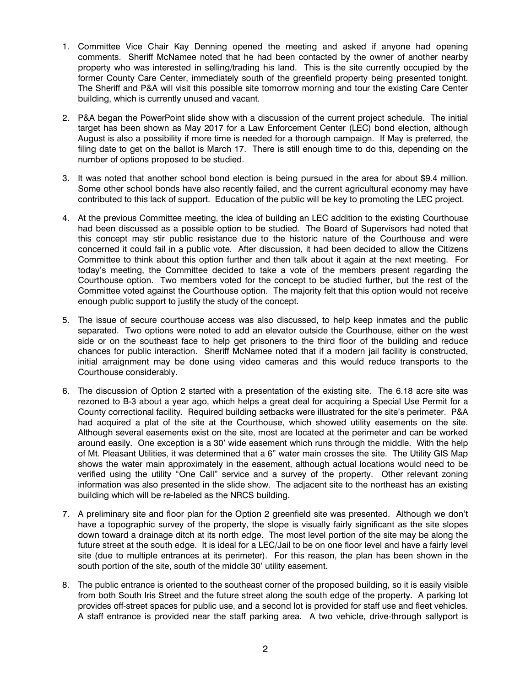- 1. Committee Vice Chair Kay Denning opened the meeting and asked if anyone had opening comments. Sheriff McNamee noted that he had been contacted by the owner of another nearby property who was interested in selling/trading his land. This is the site currently occupied by the former County Care Center, immediately south of the greenfield property being presented tonight. The Sheriff and P&A will visit this possible site tomorrow morning and tour the existing Care Center building, which is currently unused and vacant.
- 2. P&A began the PowerPoint slide show with a discussion of the current project schedule. The initial target has been shown as May 2017 for a Law Enforcement Center (LEC) bond election, although August is also a possibility if more time is needed for a thorough campaign. If May is preferred, the filing date to get on the ballot is March 17. There is still enough time to do this, depending on the number of options proposed to be studied.
- 3. It was noted that another school bond election is being pursued in the area for about \$9.4 million. Some other school bonds have also recently failed, and the current agricultural economy may have contributed to this lack of support. Education of the public will be key to promoting the LEC project.
- 4. At the previous Committee meeting, the idea of building an LEC addition to the existing Courthouse had been discussed as a possible option to be studied. The Board of Supervisors had noted that this concept may stir public resistance due to the historic nature of the Courthouse and were concerned it could fail in a public vote. After discussion, it had been decided to allow the Citizens Committee to think about this option further and then talk about it again at the next meeting. For today's meeting, the Committee decided to take a vote of the members present regarding the Courthouse option. Two members voted for the concept to be studied further, but the rest of the Committee voted against the Courthouse option. The majority felt that this option would not receive enough public support to justify the study of the concept.
- 5. The issue of secure courthouse access was also discussed, to help keep inmates and the public separated. Two options were noted to add an elevator outside the Courthouse, either on the west side or on the southeast face to help get prisoners to the third floor of the building and reduce chances for public interaction. Sheriff McNamee noted that if a modern jail facility is constructed, initial arraignment may be done using video cameras and this would reduce transports to the Courthouse considerably.
- 6. The discussion of Option 2 started with a presentation of the existing site. The 6.18 acre site was rezoned to B-3 about a year ago, which helps a great deal for acquiring a Special Use Permit for a County correctional facility. Required building setbacks were illustrated for the site's perimeter. P&A had acquired a plat of the site at the Courthouse, which showed utility easements on the site. Although several easements exist on the site, most are located at the perimeter and can be worked around easily. One exception is a 30' wide easement which runs through the middle. With the help of Mt. Pleasant Utilities, it was determined that a 6" water main crosses the site. The Utility GIS Map shows the water main approximately in the easement, although actual locations would need to be verified using the utility "One Call" service and a survey of the property. Other relevant zoning information was also presented in the slide show. The adjacent site to the northeast has an existing building which will be re-labeled as the NRCS building.
- 7. A preliminary site and floor plan for the Option 2 greenfield site was presented. Although we don't have a topographic survey of the property, the slope is visually fairly significant as the site slopes down toward a drainage ditch at its north edge. The most level portion of the site may be along the future street at the south edge. It is ideal for a LEC/Jail to be on one floor level and have a fairly level site (due to multiple entrances at its perimeter). For this reason, the plan has been shown in the south portion of the site, south of the middle 30' utility easement.
- 8. The public entrance is oriented to the southeast corner of the proposed building, so it is easily visible from both South Iris Street and the future street along the south edge of the property. A parking lot provides off-street spaces for public use, and a second lot is provided for staff use and fleet vehicles. A staff entrance is provided near the staff parking area. A two vehicle, drive-through sallyport is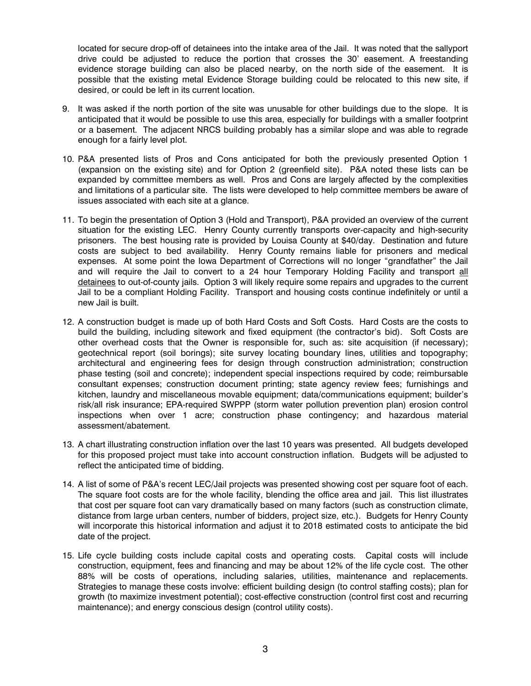located for secure drop-off of detainees into the intake area of the Jail. It was noted that the sallyport drive could be adjusted to reduce the portion that crosses the 30' easement. A freestanding evidence storage building can also be placed nearby, on the north side of the easement. It is possible that the existing metal Evidence Storage building could be relocated to this new site, if desired, or could be left in its current location.

- 9. It was asked if the north portion of the site was unusable for other buildings due to the slope. It is anticipated that it would be possible to use this area, especially for buildings with a smaller footprint or a basement. The adjacent NRCS building probably has a similar slope and was able to regrade enough for a fairly level plot.
- 10. P&A presented lists of Pros and Cons anticipated for both the previously presented Option 1 (expansion on the existing site) and for Option 2 (greenfield site). P&A noted these lists can be expanded by committee members as well. Pros and Cons are largely affected by the complexities and limitations of a particular site. The lists were developed to help committee members be aware of issues associated with each site at a glance.
- 11. To begin the presentation of Option 3 (Hold and Transport), P&A provided an overview of the current situation for the existing LEC. Henry County currently transports over-capacity and high-security prisoners. The best housing rate is provided by Louisa County at \$40/day. Destination and future costs are subject to bed availability. Henry County remains liable for prisoners and medical expenses. At some point the Iowa Department of Corrections will no longer "grandfather" the Jail and will require the Jail to convert to a 24 hour Temporary Holding Facility and transport all detainees to out-of-county jails. Option 3 will likely require some repairs and upgrades to the current Jail to be a compliant Holding Facility. Transport and housing costs continue indefinitely or until a new Jail is built.
- 12. A construction budget is made up of both Hard Costs and Soft Costs. Hard Costs are the costs to build the building, including sitework and fixed equipment (the contractor's bid). Soft Costs are other overhead costs that the Owner is responsible for, such as: site acquisition (if necessary); geotechnical report (soil borings); site survey locating boundary lines, utilities and topography; architectural and engineering fees for design through construction administration; construction phase testing (soil and concrete); independent special inspections required by code; reimbursable consultant expenses; construction document printing; state agency review fees; furnishings and kitchen, laundry and miscellaneous movable equipment; data/communications equipment; builder's risk/all risk insurance; EPA-required SWPPP (storm water pollution prevention plan) erosion control inspections when over 1 acre; construction phase contingency; and hazardous material assessment/abatement.
- 13. A chart illustrating construction inflation over the last 10 years was presented. All budgets developed for this proposed project must take into account construction inflation. Budgets will be adjusted to reflect the anticipated time of bidding.
- 14. A list of some of P&A's recent LEC/Jail projects was presented showing cost per square foot of each. The square foot costs are for the whole facility, blending the office area and jail. This list illustrates that cost per square foot can vary dramatically based on many factors (such as construction climate, distance from large urban centers, number of bidders, project size, etc.). Budgets for Henry County will incorporate this historical information and adjust it to 2018 estimated costs to anticipate the bid date of the project.
- 15. Life cycle building costs include capital costs and operating costs. Capital costs will include construction, equipment, fees and financing and may be about 12% of the life cycle cost. The other 88% will be costs of operations, including salaries, utilities, maintenance and replacements. Strategies to manage these costs involve: efficient building design (to control staffing costs); plan for growth (to maximize investment potential); cost-effective construction (control first cost and recurring maintenance); and energy conscious design (control utility costs).